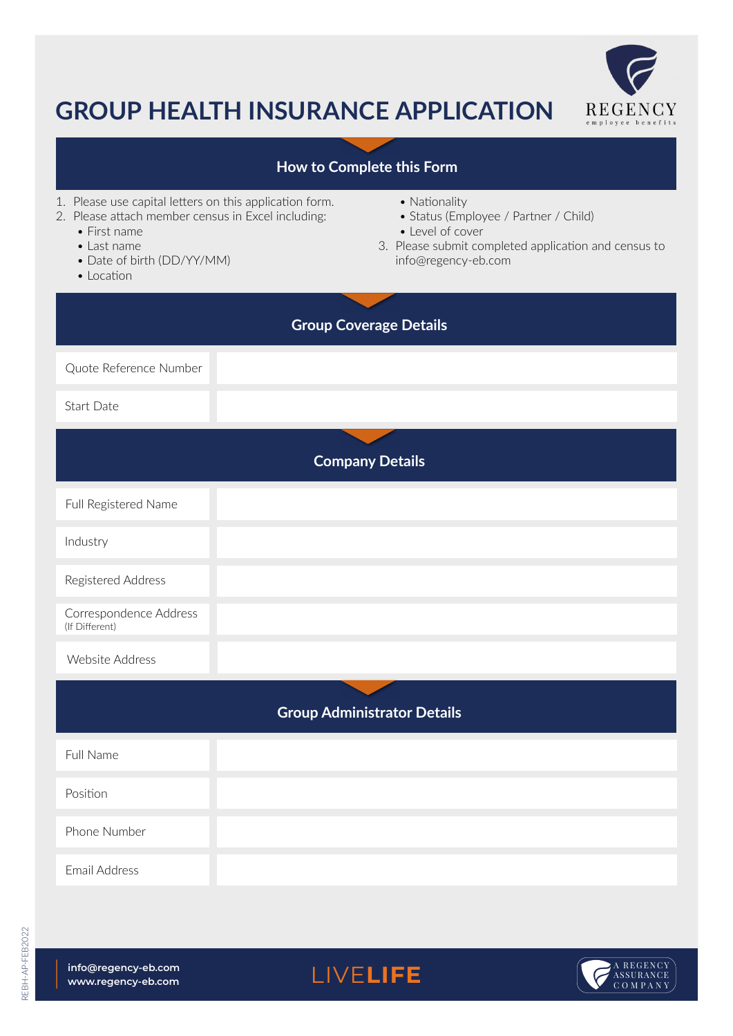

## **GROUP HEALTH INSURANCE APPLICATION**

## Website Address Website Address **Company Details Group Coverage Details Group Administrator Details** Quote Reference Number Full Name Phone Number Position Email Address Start Date 1. Please use capital letters on this application form. 2. Please attach member census in Excel including: • First name • Last name • Date of birth (DD/YY/MM) • Location • Nationality • Status (Employee / Partner / Child) • Level of cover 3. Please submit completed application and census to info@regency-eb.com Full Registered Name Industry Registered Address Correspondence Address (If Different) **How to Complete this Form**

LIVE**LIFE**